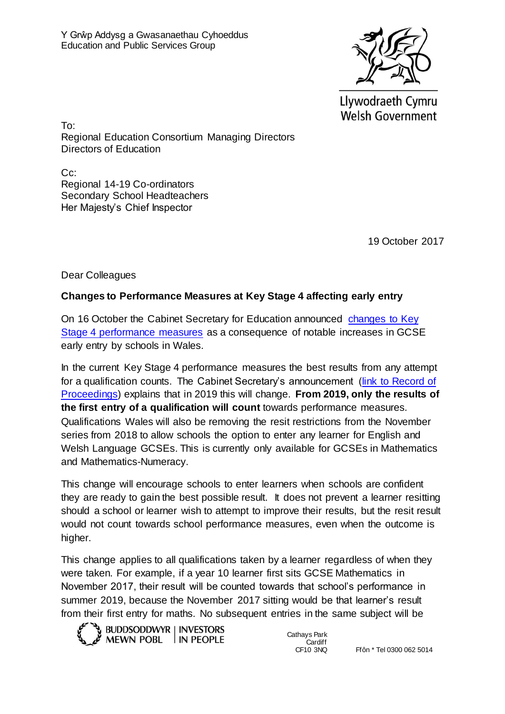

Llywodraeth Cymru **Welsh Government** 

To: Regional Education Consortium Managing Directors Directors of Education

C<sub>c</sub>: Regional 14-19 Co-ordinators Secondary School Headteachers Her Majesty's Chief Inspector

19 October 2017

Dear Colleagues

## **Changes to Performance Measures at Key Stage 4 affecting early entry**

On 16 October the Cabinet Secretary for Education announced [changes to Key](http://gov.wales/newsroom/educationandskills/2017/changes-to-early-entry-exams-announced/?lang=en)  [Stage 4 performance measures](http://gov.wales/newsroom/educationandskills/2017/changes-to-early-entry-exams-announced/?lang=en) as a consequence of notable increases in GCSE early entry by schools in Wales.

In the current Key Stage 4 performance measures the best results from any attempt for a qualification counts. The Cabinet Secretary's announcement (link to Record of [Proceedings\)](http://www.assembly.wales/en/bus-home/pages/rop.aspx?meetingid=4650&assembly=5&c=Record%20of%20Proceedings) explains that in 2019 this will change. **From 2019, only the results of the first entry of a qualification will count** towards performance measures. Qualifications Wales will also be removing the resit restrictions from the November series from 2018 to allow schools the option to enter any learner for English and Welsh Language GCSEs. This is currently only available for GCSEs in Mathematics and Mathematics-Numeracy.

This change will encourage schools to enter learners when schools are confident they are ready to gain the best possible result. It does not prevent a learner resitting should a school or learner wish to attempt to improve their results, but the resit result would not count towards school performance measures, even when the outcome is higher.

This change applies to all qualifications taken by a learner regardless of when they were taken. For example, if a year 10 learner first sits GCSE Mathematics in November 2017, their result will be counted towards that school's performance in summer 2019, because the November 2017 sitting would be that learner's result from their first entry for maths. No subsequent entries in the same subject will be



Cathays Park Cardiff<br>CF10 3NQ